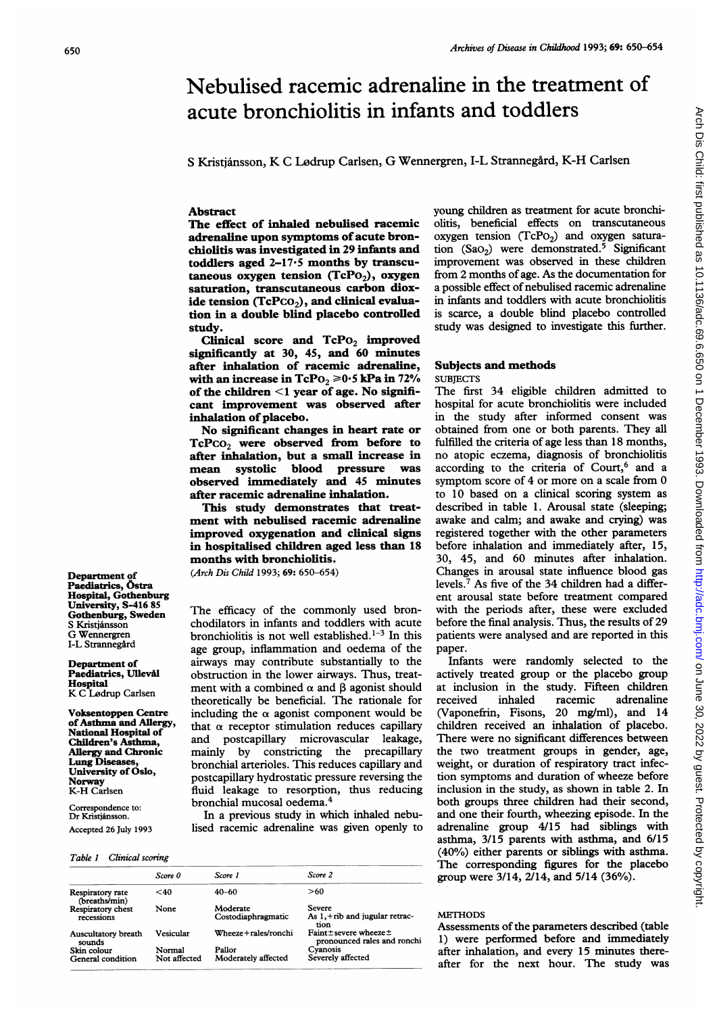# Nebulised racemic adrenaline in the treatment of acute bronchiolitis in infants and toddlers

S Kristjánsson, K C Lødrup Carlsen, G Wennergren, I-L Strannegård, K-H Carlsen

### Abstract

The effect of inhaled nebulised racemic adrenaline upon symptoms of acute bronchiolitis was investigated in 29 infants and toddlers aged 2-17-5 months by transcutaneous oxygen tension (TcPo<sub>2</sub>), oxygen saturation, transcutaneous carbon dioxide tension  $(TcPCO<sub>2</sub>)$ , and clinical evaluation in a double blind placebo controlled study.

Clinical score and  $TePo<sub>2</sub>$  improved significantly at 30, 45, and 60 minutes after inhalation of racemic adrenaline, with an increase in  $\text{TePo}_2 \geq 0.5$  kPa in 72% of the children  $\leq 1$  year of age. No significant improvement was observed after inhalation of placebo.

No significant changes in heart rate or  $TePco<sub>2</sub>$  were observed from before to after inhalation, but a small increase in mean systolic blood pressure was observed immediately and 45 minutes after racemic adrenaline inhalation.

This study demonstrates that treatment with nebulised racemic adrenaline improved oxygenation and clinical signs in hospitalised children aged less than 18 months with bronchiolitis.

(Arch Dis Child 1993; 69: 650-654)

The efficacy of the commonly used bronchodilators in infants and toddlers with acute bronchiolitis is not well established.<sup>1-3</sup> In this age group, inflammation and oedema of the airways may contribute substantially to the obstruction in the lower airways. Thus, treatment with a combined  $\alpha$  and  $\beta$  agonist should theoretically be beneficial. The rationale for including the  $\alpha$  agonist component would be that  $\alpha$  receptor stimulation reduces capillary and postcapillary microvascular leakage, mainly by constricting the precapillary bronchial arterioles. This reduces capillary and postcapillary hydrostatic pressure reversing the fluid leakage to resorption, thus reducing bronchial mucosal oedema.4

In a previous study in which inhaled nebulised racemic adrenaline was given openly to

|                                   | Score 0      | Score 1               | Score 2                                             |
|-----------------------------------|--------------|-----------------------|-----------------------------------------------------|
| Respiratory rate<br>(breaths/min) | $<$ 40       | $40 - 60$             | >60                                                 |
| Respiratory chest                 | None         | Moderate              | <b>Severe</b>                                       |
| recessions                        |              | Costodiaphragmatic    | As $1, +rib$ and jugular retrac-<br>tion            |
| Auscultatory breath<br>sounds     | Vesicular    | Wheeze + rales/ronchi | Faint±severe wheeze±<br>pronounced rales and ronchi |
| Skin colour                       | Normal       | Pallor                | Cyanosis                                            |
| General condition                 | Not affected | Moderately affected   | Severely affected                                   |
|                                   |              |                       |                                                     |

young children as treatment for acute bronchiolitis, beneficial effects on transcutaneous oxygen tension  $(TcPo<sub>2</sub>)$  and oxygen saturation  $(Sao_2)$  were demonstrated.<sup>5</sup> Significant improvement was observed in these children from 2 months of age. As the documentation for a possible effect of nebulised racemic adrenaline in infants and toddlers with acute bronchiolitis is scarce, a double blind placebo controlled study was designed to investigate this further.

## Subjects and methods **SUBJECTS**

The first 34 eligible children admitted to hospital for acute bronchiolitis were included in the study after informed consent was obtained from one or both parents. They all fulfilled the criteria of age less than 18 months, no atopic eczema, diagnosis of bronchiolitis according to the criteria of Court,<sup>6</sup> and a symptom score of 4 or more on a scale from 0 to 10 based on a clinical scoring system as described in table 1. Arousal state (sleeping; awake and calm; and awake and crying) was registered together with the other parameters before inhalation and immediately after, 15, 30, 45, and 60 minutes after inhalation. Changes in arousal state influence blood gas levels.7 As five of the 34 children had a different arousal state before treatment compared with the periods after, these were excluded before the final analysis. Thus, the results of 29 patients were analysed and are reported in this paper.

Infants were randomly selected to the actively treated group or the placebo group at inclusion in the study. Fifteen children received inhaled racemic adrenaline (Vaponefrin, Fisons, 20 mg/ml), and 14 children received an inhalation of placebo. There were no significant differences between the two treatment groups in gender, age, weight, or duration of respiratory tract infection symptoms and duration of wheeze before inclusion in the study, as shown in table 2. In both groups three children had their second, and one their fourth, wheezing episode. In the adrenaline group 4/15 had siblings with asthma, 3/15 parents with asthma, and 6/15 (40%) either parents or siblings with asthma. The corresponding figures for the placebo group were 3/14, 2/14, and 5/14 (36%).

# **METHODS**

Assessments of the parameters described (table 1) were performed before and immediately after inhalation, and every 15 minutes thereafter for the next hour. The study was Arch Dis Child: first published as 10.1136/adc.69.6.650 on 1 December 1993. Downloaded from http://adc.bmj.com/ on June 30, 2022 by guest. Protected by copyright Arch Dis Child: first published as 10.1136/adc.69.6.650.6.69.6.69.0. Downloaded from Arch Ditp://adc.bmj.com/ on June 30, 2022 by guest. Protected by copyright.

#### Department of Paediatrics, Östra Hospital, Gothenburg University, S-416 85 Gothenburg, Sweden S Kristjánsson G Wennergren I-L Strannegård

Department of Paediatrics, Ullevål **Hospital**<br>K C Lødrup Carlsen

Voksentoppen Centre ofAsthma and Allergy, National Hospital of Children's Asthma, Allergy and Chronic Lung Diseases, University of Oslo, Norway K-H Carlsen

Correspondence to: Dr Kristjansson. Accepted 26 July 1993

#### Table 1 Clinical scoring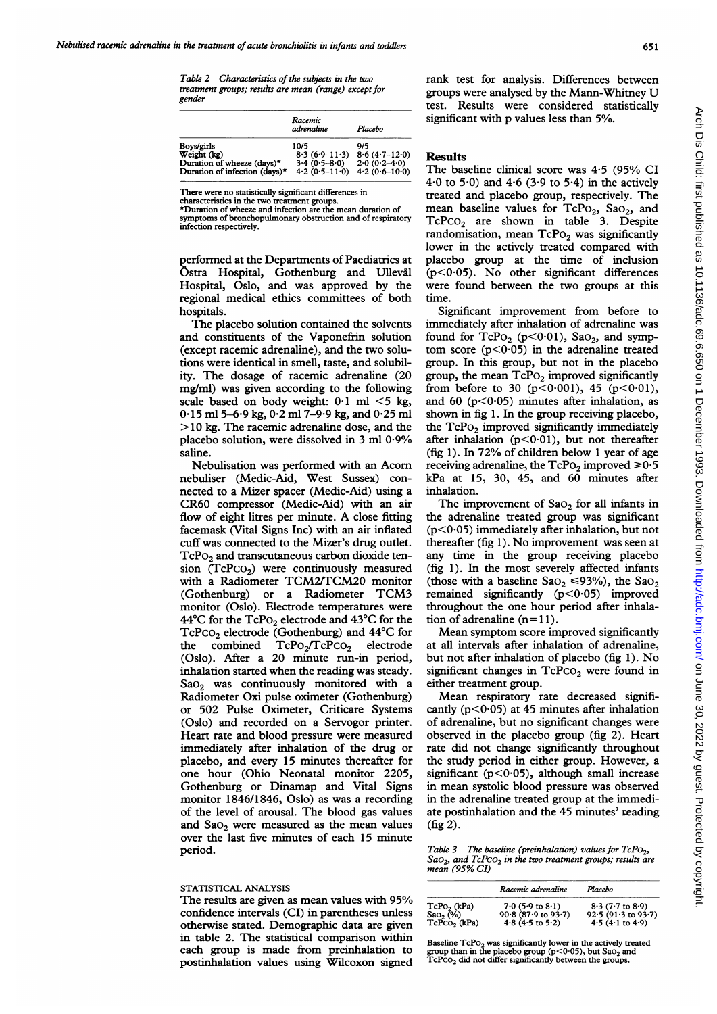Table 2 Characteristics of the subjects in the two treatment groups; results are mean (range) except for gender

|                               | Racemic<br>adrenaline | Placebo         |
|-------------------------------|-----------------------|-----------------|
| Boys/girls                    | 10/5                  | 9/5             |
| Weight (kg)                   | $8.3(6.9-11.3)$       | $8.6(4.7-12.0)$ |
| Duration of wheeze (days)*    | $3.4(0.5-8.0)$        | $2.0(0.2-4.0)$  |
| Duration of infection (days)* | $4.2(0.5-11.0)$       | $4.2(0.6-10.0)$ |

There were no statistically significant differences in

characteristics in the two treatment groups. \*Duration of wheeze and infection are the mean duration of symptoms of bronchopulmonary obstruction and of respiratory infection respectively.

performed at the Departments of Paediatrics at Ostra Hospital, Gothenburg and Ulleval Hospital, Oslo, and was approved by the regional medical ethics committees of both hospitals.

The placebo solution contained the solvents and constituents of the Vaponefrin solution (except racemic adrenaline), and the two solutions were identical in smell, taste, and solubility. The dosage of racemic adrenaline (20 mg/ml) was given according to the following scale based on body weight:  $0.1$  ml  $\leq$ 5 kg, 0-15 ml 5-6-9 kg, 0-2 ml 7-9-9 kg, and 0-25 ml > <sup>10</sup> kg. The racemic adrenaline dose, and the placebo solution, were dissolved in 3 ml 0.9% saline.

Nebulisation was performed with an Acorn nebuliser (Medic-Aid, West Sussex) connected to a Mizer spacer (Medic-Aid) using a CR60 compressor (Medic-Aid) with an air flow of eight litres per minute. A close fitting facemask (Vital Signs Inc) with an air inflated cuff was connected to the Mizer's drug outlet.  $TcPo<sub>2</sub>$  and transcutaneous carbon dioxide tension  $(TcPco<sub>2</sub>)$  were continuously measured with <sup>a</sup> Radiometer TCM2/TCM20 monitor (Gothenburg) or <sup>a</sup> Radiometer TCM3 monitor (Oslo). Electrode temperatures were 44°C for the TcPo<sub>2</sub> electrode and 43°C for the TcPco<sub>2</sub> electrode (Gothenburg) and 44°C for the combined TcPo<sub>2</sub>/TcPco<sub>2</sub> electrode (Oslo). After a 20 minute run-in period, inhalation started when the reading was steady. SaO<sub>2</sub> was continuously monitored with a Radiometer Oxi pulse oximeter (Gothenburg) or 502 Pulse Oximeter, Criticare Systems (Oslo) and recorded on a Servogor printer. Heart rate and blood pressure were measured immediately after inhalation of the drug or placebo, and every 15 minutes thereafter for one hour (Ohio Neonatal monitor 2205, Gothenburg or Dinamap and Vital Signs monitor 1846/1846, Oslo) as was a recording of the level of arousal. The blood gas values and  $Sao<sub>2</sub>$  were measured as the mean values over the last five minutes of each 15 minute period.

#### STATISTICAL ANALYSIS

The results are given as mean values with 95% confidence intervals (CI) in parentheses unless otherwise stated. Demographic data are given in table 2. The statistical comparison within each group is made from preinhalation to postinhalation values using Wilcoxon signed rank test for analysis. Differences between groups were analysed by the Mann-Whitney U test. Results were considered statistically significant with p values less than 5%.

### Results

The baseline clinical score was 4-5 (95% CI  $4.0$  to  $5.0$ ) and  $4.6$  ( $3.9$  to  $5.4$ ) in the actively treated and placebo group, respectively. The mean baseline values for  $TcPo_2$ ,  $SaO_2$ , and  $TcPco<sub>2</sub>$  are shown in table 3. Despite randomisation, mean  $TcPo<sub>2</sub>$  was significantly lower in the actively treated compared with placebo group at the time of inclusion (p<0-05). No other significant differences were found between the two groups at this time.

Significant improvement from before to immediately after inhalation of adrenaline was found for  $TcPo_2$  ( $p<0.01$ ), Sao<sub>2</sub>, and symptom score  $(p<0.05)$  in the adrenaline treated group. In this group, but not in the placebo group, the mean  $TcPo_2$  improved significantly from before to 30 ( $p < 0.001$ ), 45 ( $p < 0.01$ ), and 60 ( $p < 0.05$ ) minutes after inhalation, as shown in fig 1. In the group receiving placebo, the  $TcPo<sub>2</sub>$  improved significantly immediately after inhalation  $(p<0.01)$ , but not thereafter (fig 1). In 72% of children below <sup>1</sup> year of age receiving adrenaline, the  $TcPo_2$  improved  $\geq 0.5$ kPa at 15, 30, 45, and 60 minutes after inhalation.

The improvement of  $Sao<sub>2</sub>$  for all infants in the adrenaline treated group was significant  $(p<0.05)$  immediately after inhalation, but not thereafter (fig 1). No improvement was seen at any time in the group receiving placebo (fig 1). In the most severely affected infants (those with a baseline  $Sao_2 \leq 93\%$ ), the  $Sao_2$ remained significantly  $(p<0.05)$  improved throughout the one hour period after inhalation of adrenaline  $(n=11)$ .

Mean symptom score improved significantly at all intervals after inhalation of adrenaline, but not after inhalation of placebo (fig 1). No significant changes in  $TcPco<sub>2</sub>$  were found in either treatment group.

Mean respiratory rate decreased significantly ( $p < 0.05$ ) at 45 minutes after inhalation of adrenaline, but no significant changes were observed in the placebo group (fig 2). Heart rate did not change significantly throughout the study period in either group. However, a significant ( $p < 0.05$ ), although small increase in mean systolic blood pressure was observed in the adrenaline treated group at the immediate postinhalation and the 45 minutes' reading (fig 2).

Table 3 The baseline (preinhalation) values for  $TcPO<sub>2</sub>$ ,  $Sao<sub>2</sub>$ , and  $TcPCO<sub>2</sub>$  in the two treatment groups; results are mean (95% CI)

|                                        | Racemic adrenaline                                        | Placebo                                                     |
|----------------------------------------|-----------------------------------------------------------|-------------------------------------------------------------|
| $TcPo_2$ (kPa)<br>Sao <sub>2</sub> (%) | $7.0(5.9 \text{ to } 8.1)$                                | $8.3(7.7 \text{ to } 8.9)$                                  |
| $TePCO2$ (kPa)                         | $90.8(87.9 \text{ to } 93.7)$<br>$4.8$ ( $4.5$ to $5.2$ ) | $92.5(91.3 \text{ to } 93.7)$<br>$4.5(4.1 \text{ to } 4.9)$ |

Baseline  $\text{TePo}_2$  was significantly lower in the actively treated group than in the placebo group ( $p<0.05$ ), but Sao<sub>2</sub> and TcPco<sub>2</sub> did not differ significantly between the groups.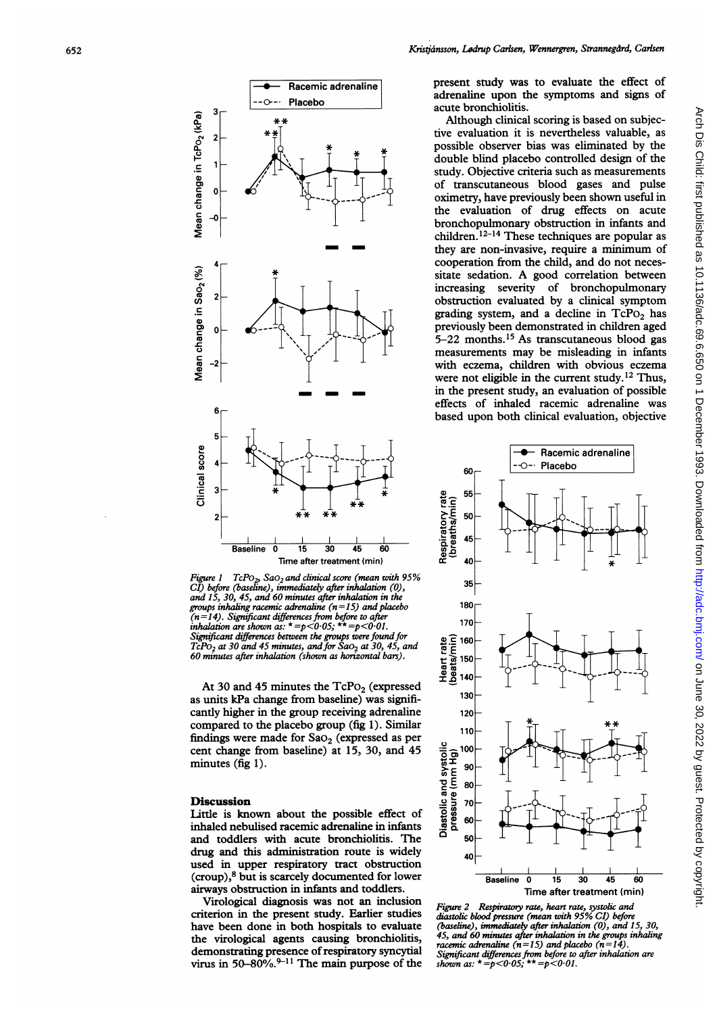

Figure 1  $TcPo_2$ , Sa $O_2$  and clinical score (mean with 95% CI) before (baseline), immediately after inhalation (0), and 15, 30, 45, and 60 minutes after inhalation in the groups inhaling racemic adrenaline  $(n=15)$  and placebo ( $n=14$ ). Significant differences from before to after inhalation are shown as:  $*=p<0.05$ ;  $**=p<0.01$ . Significant differences between the groups were found for  $TcPo<sub>2</sub>$  at 30 and 45 minutes, and for Sa $o<sub>2</sub>$  at 30, 45, and 60 minutes after inhalation (shown as horizontal bars).

At 30 and 45 minutes the  $TcPo<sub>2</sub>$  (expressed as units kPa change from baseline) was significantly higher in the group receiving adrenaline compared to the placebo group (fig 1). Similar findings were made for  $Sao_2$  (expressed as per cent change from baseline) at 15, 30, and 45 minutes (fig 1).

## **Discussion**

Little is known about the possible effect of inhaled nebulised racemic adrenaline in infants and toddlers with acute bronchiolitis. The drug and this administration route is widely used in upper respiratory tract obstruction (croup),8 but is scarcely documented for lower airways obstruction in infants and toddlers.

Virological diagnosis was not an inclusion criterion in the present study. Earlier studies have been done in both hospitals to evaluate the virological agents causing bronchiolitis, demonstrating presence of respiratory syncytial virus in 50-80%. $9-11$  The main purpose of the present study was to evaluate the effect of adrenaline upon the symptoms and signs of acute bronchiolitis.

Although clinical scoring is based on subjective evaluation it is nevertheless valuable, as possible observer bias was eliminated by the double blind placebo controlled design of the study. Objective criteria such as measurements of transcutaneous blood gases and pulse oximetry, have previously been shown useful in the evaluation of drug effects on acute bronchopulmonary obstruction in infants and  $chidren.<sup>12-14</sup> These techniques are popular as$ they are non-invasive, require <sup>a</sup> minimum of cooperation from the child, and do not necessitate sedation. A good correlation between increasing severity of bronchopulmonary obstruction evaluated by a clinical symptom grading system, and a decline in  $TcPo<sub>2</sub>$  has previously been demonstrated in children aged 5-22 months.'5 As transcutaneous blood gas measurements may be misleading in infants with eczema, children with obvious eczema were not eligible in the current study.<sup>12</sup> Thus, in the present study, an evaluation of possible effects of inhaled racemic adrenaline was based upon both clinical evaluation, objective



Figure 2 Respiratory rate, heart rate, systolic and diastolic blood pressure (mean with 95% CI) before (baseline), immediately after inhalation  $(0)$ , and 15, 30, 45, and 60 minutes after inhalation in the groups inhaling racemic adrenaline ( $n=15$ ) and placebo ( $n=14$ ). Significant differences from before to after inhalation are<br>shown as: \* =p<0·05; \*\* =p<0·01.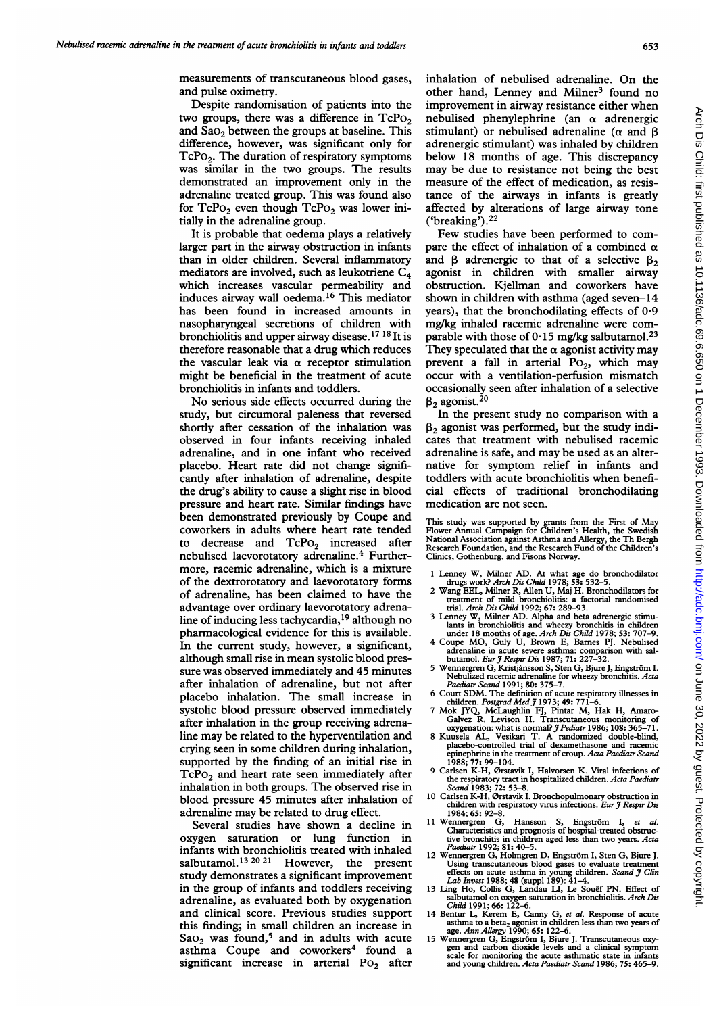measurements of transcutaneous blood gases, and pulse oximetry.

Despite randomisation of patients into the two groups, there was a difference in  $TePo<sub>2</sub>$ and  $Sao<sub>2</sub>$  between the groups at baseline. This difference, however, was significant only for  $TcPo<sub>2</sub>$ . The duration of respiratory symptoms was similar in the two groups. The results demonstrated an improvement only in the adrenaline treated group. This was found also for  $TcPo_2$  even though  $TcPo_2$  was lower initially in the adrenaline group.

It is probable that oedema plays a relatively larger part in the airway obstruction in infants than in older children. Several inflammatory mediators are involved, such as leukotriene  $C_4$ which increases vascular permeability and induces airway wall oedema.16 This mediator has been found in increased amounts in nasopharyngeal secretions of children with bronchiolitis and upper airway disease.17 <sup>18</sup> It is therefore reasonable that a drug which reduces the vascular leak via  $\alpha$  receptor stimulation might be beneficial in the treatment of acute bronchiolitis in infants and toddlers.

No serious side effects occurred during the study, but circumoral paleness that reversed shortly after cessation of the inhalation was observed in four infants receiving inhaled adrenaline, and in one infant who received placebo. Heart rate did not change significantly after inhalation of adrenaline, despite the drug's ability to cause a slight rise in blood pressure and heart rate. Similar findings have been demonstrated previously by Coupe and coworkers in adults where heart rate tended to decrease and  $TcPo_2$  increased after nebulised laevorotatory adrenaline.4 Furthermore, racemic adrenaline, which is a mixture of the dextrorotatory and laevorotatory forms of adrenaline, has been claimed to have the advantage over ordinary laevorotatory adrenaline of inducing less tachycardia,<sup>19</sup> although no pharmacological evidence for this is available. In the current study, however, a significant, although small rise in mean systolic blood pressure was observed immediately and 45 minutes after inhalation of adrenaline, but not after placebo inhalation. The small increase in systolic blood pressure observed immediately after inhalation in the group receiving adrenaline may be related to the hyperventilation and crying seen in some children during inhalation, supported by the finding of an initial rise in TcPo<sub>2</sub> and heart rate seen immediately after inhalation in both groups. The observed rise in blood pressure 45 minutes after inhalation of adrenaline may be related to drug effect.

Several studies have shown a decline in oxygen saturation or lung function in infants with bronchiolitis treated with inhaled salbutamol.<sup>13 20 21</sup> However, the present study demonstrates <sup>a</sup> significant improvement in the group of infants and toddlers receiving adrenaline, as evaluated both by oxygenation and clinical score. Previous studies support this finding; in small children an increase in  $Sao<sub>2</sub>$  was found,<sup>5</sup> and in adults with acute asthma Coupe and coworkers<sup>4</sup> found a significant increase in arterial  $Po<sub>2</sub>$  after inhalation of nebulised adrenaline. On the other hand, Lenney and Milner<sup>3</sup> found no improvement in airway resistance either when nebulised phenylephrine (an  $\alpha$  adrenergic stimulant) or nebulised adrenaline ( $\alpha$  and  $\beta$ adrenergic stimulant) was inhaled by children below 18 months of age. This discrepancy may be due to resistance not being the best measure of the effect of medication, as resistance of the airways in infants is greatly affected by alterations of large airway tone ('breaking'). $22$ 

Few studies have been performed to compare the effect of inhalation of a combined  $\alpha$ and  $\beta$  adrenergic to that of a selective  $\beta_2$ agonist in children with smaller airway obstruction. Kjellman and coworkers have shown in children with asthma (aged seven-14 years), that the bronchodilating effects of  $0.9$ mg/kg inhaled racemic adrenaline were comparable with those of  $0.15$  mg/kg salbutamol.<sup>23</sup> They speculated that the  $\alpha$  agonist activity may prevent a fall in arterial  $Po_2$ , which may occur with a ventilation-perfusion mismatch occasionally seen after inhalation of a selective  $\beta_2$  agonist.<sup>20</sup>

In the present study no comparison with <sup>a</sup>  $\beta_2$  agonist was performed, but the study indicates that treatment with nebulised racemic adrenaline is safe, and may be used as an alternative for symptom relief in infants and toddlers with acute bronchiolitis when beneficial effects of traditional bronchodilating medication are not seen.

This study was supported by grants from the First of May Flower Annual Campaign for Children's Health, the Swedish National Association against Asthma and Allergy, the Th Bergh Research Foundation, and the Research Fund of the Children's Clinics, Gothenburg, and Fisons Norway.

- 1 Lenney W, Milner AD. At what age do bronchodilator drugs work? Arch Dis Child 1978; 53: 532-5.
- 2 Wang EEL, Milner R, Allen U, Maj H. Bronchodilators for treatment of mild bronchiolitis: a factorial randomised trial. Arch Dis Child 1992; 67: 289-93.
- 3 Lenney W, Milner AD. Alpha and beta adrenergic stimu-<br>lants in bronchiolitis and wheezy bronchitis in children<br>under 18 months of age. Arch Dis Child 1978; 53: 707-9.<br>4 Coupe MO, Guly U, Brown E, Barnes PJ. Nebulised
- adrenaline in acute severe asthma: comparison with salbutamol. Eur J Respir Dis 1987; 71: 227–32.
- 5 Wennergren G, Kristjánsson S, Sten G, Bjure J, Engström I.<br>Nebulized racemic adrenaline for wheezy bronchitis. Acta
- Paediatr Scand 1991; 80: 375-7. 6 Court SDM. The definition of acute respiratory illnesses in
- children. *Postgrad Med 3* 1973; 49: 771–6.<br>
7 Mok JYQ, McLaughlin FJ, Pintar M, Hak H, Amaro-Galvez R, Levison H. Transcutaneous monitoring of<br>
Galvez R, Levison H. Transcutaneous monitoring of<br>
xuygenation: what is norma
- epinephrine in the treatment of croup. Acta Paediatr Scand  $1988: 77: 99-104$
- 9 Carlsen K-H, Ørstavik I, Halvorsen K. Viral infections of the respiratory tract in hospitalized children. Acta Paediatr<br>Scand 1983; 72: 53–8.<br>10 Carlsen K-H, Ørstavik I. Bronchopulmonary obstruction in
- children with respiratory virus infections. Eur  $\bar{\tau}$  Respir Dis 1984; 65: 92-8.
- 11 Wennergren G, Hansson S, Engström I, et al. Characteristics and prognosis of hospital-treated obstruc-tive bronchitis in children aged less than two years. Acta Paediatr 1992; 81: 40-5.
- 12 Wennergren G, Holmgren D, Engström I, Sten G, Bjure J. Using transcutaneous blood gases to evaluate treatment<br>effects on acute asthma in young children. *Scand J Clin*<br>Lab Invest 1988; 48 (suppl 189): 41-4.<br>13 Ling Ho, Collis G, Landau LI, Le Souer PN. Effect of
- salbutamol on oxygen saturation in bronchiolitis. *Arch Dis*<br>*Child* 1991; **66:** 122–6.
- 14 Bentur L, Kerem E, Canny G, et al. Response of acute asthma to a beta<sub>2</sub> agonist in children less than two years of<br>age. *Ann Allergy* 1990; 65: 122-6.<br>15 Wennergren G, Engström I, Bjure J. Transcutaneous oxy-<br>gen and carbon dioxide levels and a clinical symptom
- scale for monitoring the acute asthmatic state in infants<br>and young children. Acta Paediatr Scand 1986; 75: 465–9.